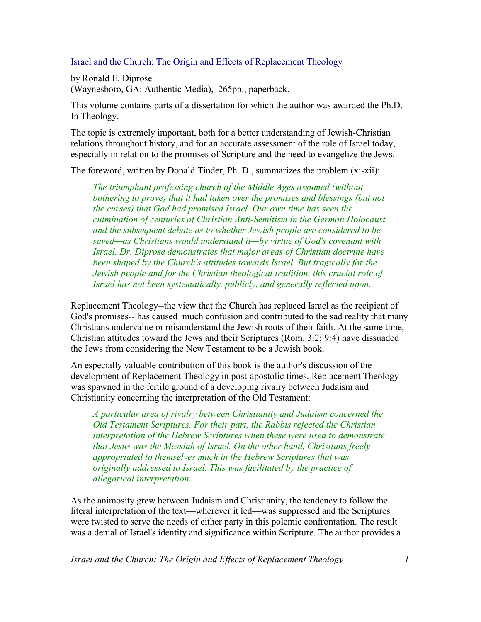## Israel and the Church: The Origin and Effects of Replacement Theology

by Ronald E. Diprose (Waynesboro, GA: Authentic Media), 265pp., paperback.

This volume contains parts of a dissertation for which the author was awarded the Ph.D. In Theology.

The topic is extremely important, both for a better understanding of Jewish-Christian relations throughout history, and for an accurate assessment of the role of Israel today, especially in relation to the promises of Scripture and the need to evangelize the Jews.

The foreword, written by Donald Tinder, Ph. D., summarizes the problem (xi-xii):

*The triumphant professing church of the Middle Ages assumed (without bothering to prove) that it had taken over the promises and blessings (but not the curses) that God had promised Israel. Our own time has seen the culmination of centuries of Christian Anti-Semitism in the German Holocaust and the subsequent debate as to whether Jewish people are considered to be saved—as Christians would understand it—by virtue of God's covenant with Israel. Dr. Diprose demonstrates that major areas of Christian doctrine have been shaped by the Church's attitudes towards Israel. But tragically for the Jewish people and for the Christian theological tradition, this crucial role of Israel has not been systematically, publicly, and generally reflected upon.*

Replacement Theology--the view that the Church has replaced Israel as the recipient of God's promises-- has caused much confusion and contributed to the sad reality that many Christians undervalue or misunderstand the Jewish roots of their faith. At the same time, Christian attitudes toward the Jews and their Scriptures (Rom. 3:2; 9:4) have dissuaded the Jews from considering the New Testament to be a Jewish book.

An especially valuable contribution of this book is the author's discussion of the development of Replacement Theology in post-apostolic times. Replacement Theology was spawned in the fertile ground of a developing rivalry between Judaism and Christianity concerning the interpretation of the Old Testament:

*A particular area of rivalry between Christianity and Judaism concerned the Old Testament Scriptures. For their part, the Rabbis rejected the Christian interpretation of the Hebrew Scriptures when these were used to demonstrate that Jesus was the Messiah of Israel. On the other hand, Christians freely appropriated to themselves much in the Hebrew Scriptures that was originally addressed to Israel. This was facilitated by the practice of allegorical interpretation.*

As the animosity grew between Judaism and Christianity, the tendency to follow the literal interpretation of the text—wherever it led—was suppressed and the Scriptures were twisted to serve the needs of either party in this polemic confrontation. The result was a denial of Israel's identity and significance within Scripture. The author provides a

*Israel and the Church: The Origin and Effects of Replacement Theology 1*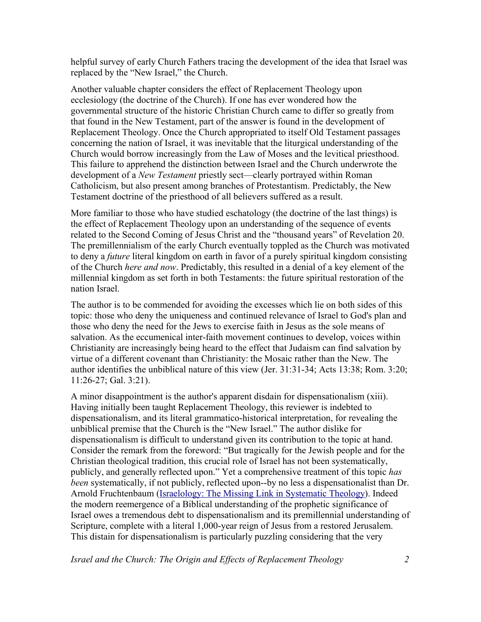helpful survey of early Church Fathers tracing the development of the idea that Israel was replaced by the "New Israel," the Church.

Another valuable chapter considers the effect of Replacement Theology upon ecclesiology (the doctrine of the Church). If one has ever wondered how the governmental structure of the historic Christian Church came to differ so greatly from that found in the New Testament, part of the answer is found in the development of Replacement Theology. Once the Church appropriated to itself Old Testament passages concerning the nation of Israel, it was inevitable that the liturgical understanding of the Church would borrow increasingly from the Law of Moses and the levitical priesthood. This failure to apprehend the distinction between Israel and the Church underwrote the development of a *New Testament* priestly sect—clearly portrayed within Roman Catholicism, but also present among branches of Protestantism. Predictably, the New Testament doctrine of the priesthood of all believers suffered as a result.

More familiar to those who have studied eschatology (the doctrine of the last things) is the effect of Replacement Theology upon an understanding of the sequence of events related to the Second Coming of Jesus Christ and the "thousand years" of Revelation 20. The premillennialism of the early Church eventually toppled as the Church was motivated to deny a *future* literal kingdom on earth in favor of a purely spiritual kingdom consisting of the Church *here and now*. Predictably, this resulted in a denial of a key element of the millennial kingdom as set forth in both Testaments: the future spiritual restoration of the nation Israel.

The author is to be commended for avoiding the excesses which lie on both sides of this topic: those who deny the uniqueness and continued relevance of Israel to God's plan and those who deny the need for the Jews to exercise faith in Jesus as the sole means of salvation. As the eccumenical inter-faith movement continues to develop, voices within Christianity are increasingly being heard to the effect that Judaism can find salvation by virtue of a different covenant than Christianity: the Mosaic rather than the New. The author identifies the unbiblical nature of this view (Jer. 31:31-34; Acts 13:38; Rom. 3:20; 11:26-27; Gal. 3:21).

A minor disappointment is the author's apparent disdain for dispensationalism (xiii). Having initially been taught Replacement Theology, this reviewer is indebted to dispensationalism, and its literal grammatico-historical interpretation, for revealing the unbiblical premise that the Church is the "New Israel." The author dislike for dispensationalism is difficult to understand given its contribution to the topic at hand. Consider the remark from the foreword: "But tragically for the Jewish people and for the Christian theological tradition, this crucial role of Israel has not been systematically, publicly, and generally reflected upon." Yet a comprehensive treatment of this topic *has been* systematically, if not publicly, reflected upon--by no less a dispensationalist than Dr. Arnold Fruchtenbaum (Israelology: The Missing Link in Systematic Theology). Indeed the modern reemergence of a Biblical understanding of the prophetic significance of Israel owes a tremendous debt to dispensationalism and its premillennial understanding of Scripture, complete with a literal 1,000-year reign of Jesus from a restored Jerusalem. This distain for dispensationalism is particularly puzzling considering that the very

*Israel and the Church: The Origin and Effects of Replacement Theology 2*